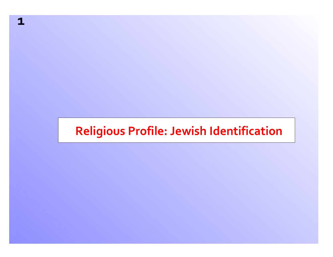## **Religious Profile: Jewish Identification**

**1**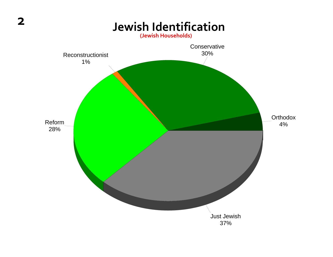

**2**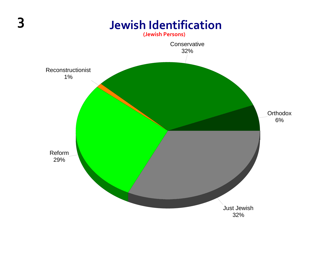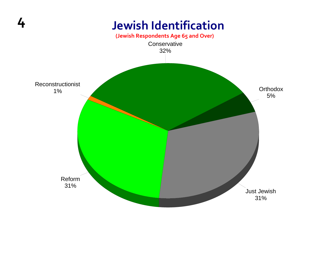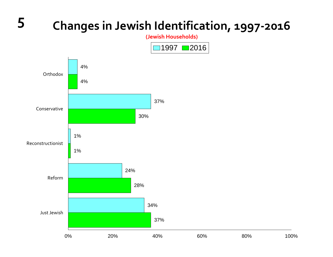#### **<sup>5</sup> Changes in Jewish Identification, <sup>1997</sup>‐<sup>2016</sup> (Jewish Households)** 4%37%1%24%34%4%30% 1%28%37%Orthodox Conservative ReconstructionistReformJust Jewish 0% 20% 40% 60% 80% 100%100%  $1997$  2016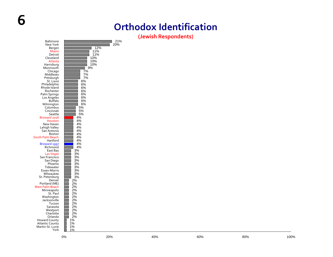#### **Orthodox Identification**

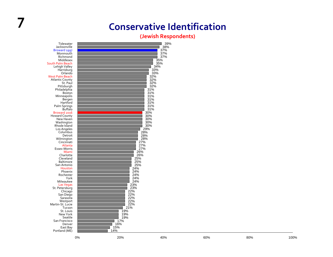## **7 Conservative Identification**

#### **(Jewish Respondents)** 39%

 38% 37% 37% 37%35%35%

 15% 14%Tidewater Jacksonville Broward 1997 Monmouth Richmond Middlesex South Palm Beach Lehigh Valley Harrisburg Orlando West Palm Beach Atlantic County St. Paul Pittsburgh Philadelphia Boston Minneapolis Bergen Hartford Palm Springs Buffalo Broward 2016 Howard County New Haven Washington Rhode Island Los Angeles **Columbus**  Detroit Wilmington Cincinnati Atlanta Essex‐Morris Miami Charlotte Cleveland Baltimore San Antonio Houston Phoenix Rochester York Milwaukee Las Vegas St. Petersburg **Chicago** San Diego Sarasota Westport Martin‐St. Lucie Tucson St. Louis New York Seattle San Francisco Denver East Bay Portland (ME)

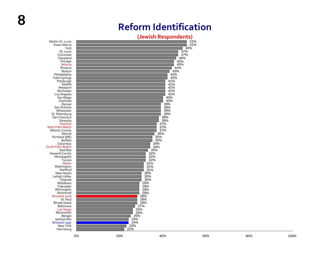**8**

#### **Reform Identification**

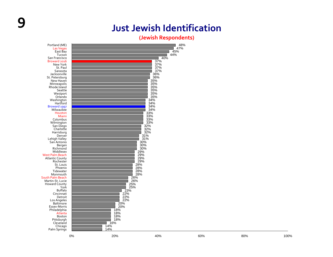#### **9 JustJewish Identification**

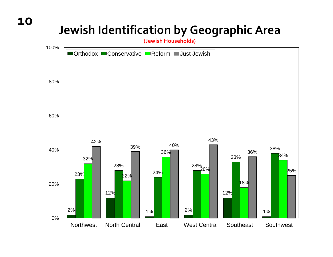## **Jewish Identification by Geographic Area**

**(Jewish Households)**

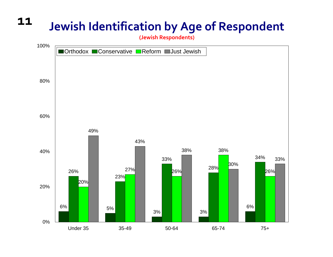#### **11Jewish Identification by Age of Respondent**

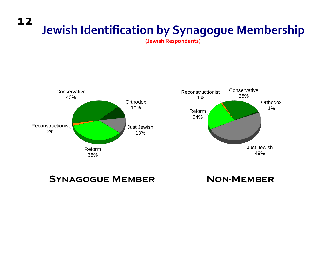#### **12 Jewish Identification by Synagogue Membership**

**(Jewish Respondents)**



**Synagogue Member Non-Member**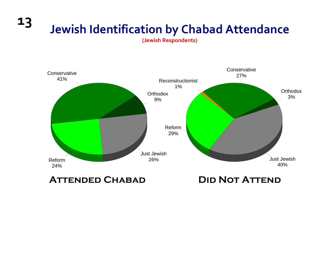**13 Jewish Identification by Chabad Attendance**

**(Jewish Respondents)**



**Attended Chabad Did Not Attend**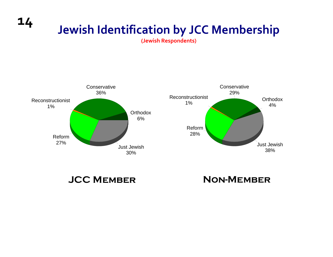## **Jewish Identification by JCC Membership**

**(Jewish Respondents)**



**JCC Member Non-Member**

**14**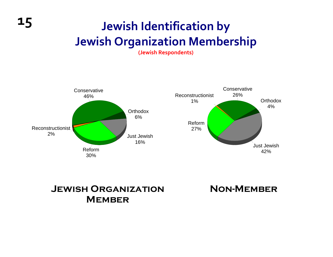## **Jewish Identification by Jewish Organization Membership**

**(Jewish Respondents)**



**Jewish Organization Member**

**15**

**Non-Member**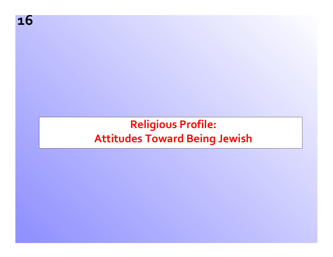**16**

## **Religious Profile: Attitudes Toward Being Jewish**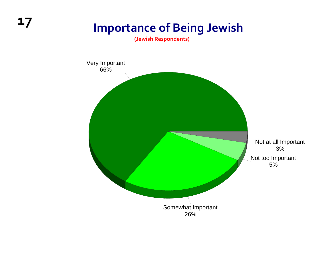# **<sup>17</sup> Importance of Being Jewish**

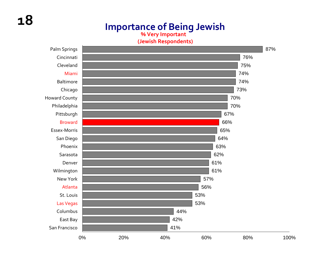#### **Importance of Being Jewish**

**% Very Important**



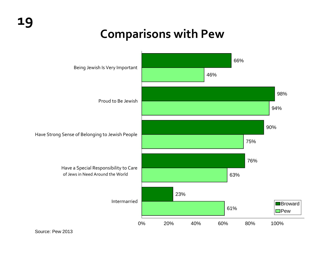#### **Comparisons with Pew**



Source: Pew 2013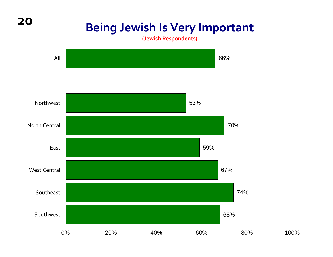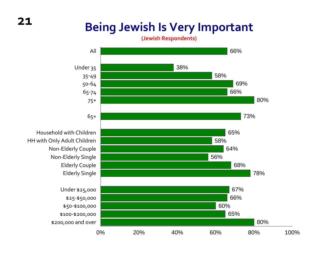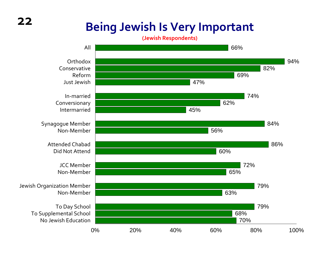

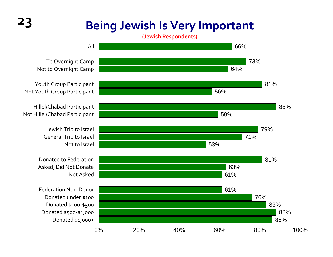**(Jewish Respondents)**



To Overnight Camp Not to Overnight Camp

Youth Group Participant Not Youth Group Participant

Hillel/Chabad Participant Not Hillel/Chabad Participant

> Jewish Trip to Israel General Trip to Israel

Donated to Federation Asked, Did Not Donate

Federation Non‐Donor Donated under \$100 Donated \$100‐\$500 Donated \$500‐\$1,000 Donated \$1,000+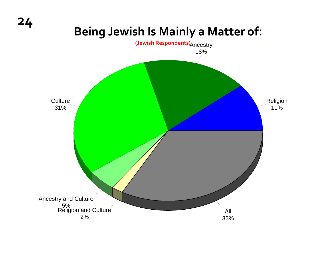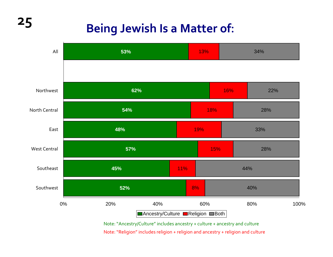## **Being Jewish Is <sup>a</sup> Matter of:**



Note:"Ancestry/Culture" includes ancestry <sup>+</sup> culture <sup>+</sup> ancestry and culture Note:"Religion" includes religion <sup>+</sup> religion and ancestry <sup>+</sup> religion and culture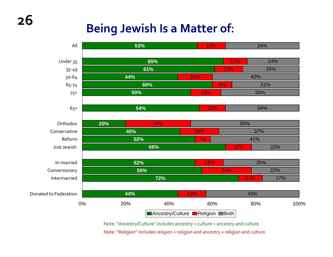## **Being Jewish Is <sup>a</sup> Matter of:**



Note:"Ancestry/Culture" includes ancestry <sup>+</sup> culture <sup>+</sup> ancestry and culture Note:"Religion" includes religion <sup>+</sup> religion and ancestry <sup>+</sup> religion and culture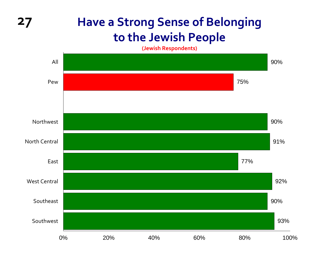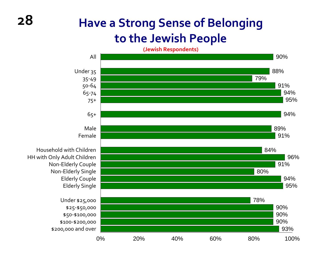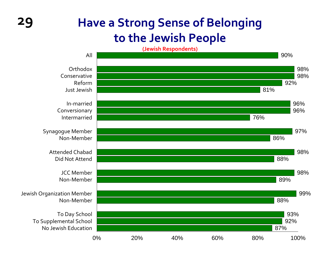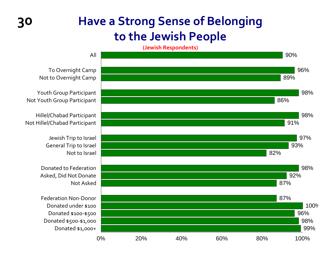

To Overnight Camp Not to Overnight Camp

Youth Group Participant Not Youth Group Participant

Hillel/Chabad Participant Not Hillel/Chabad Participant

> Jewish Trip to Israel General Trip to Israel Not to Israel

Donated to Federation Asked, Did Not Donate Not Asked

Federation Non‐Donor Donated under \$100 Donated \$100‐\$500 Donated \$500‐\$1,000 Donated \$1,000+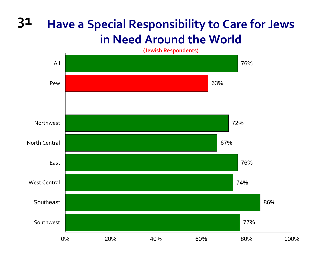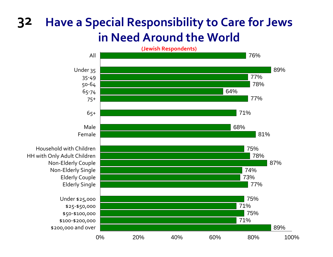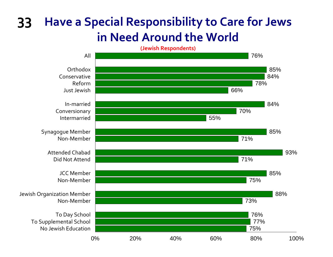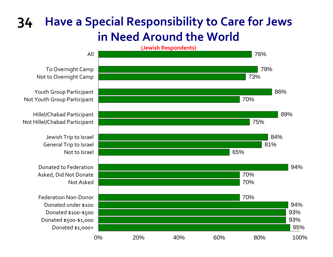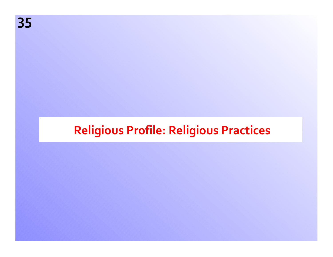## **Religious Profile: Religious Practices**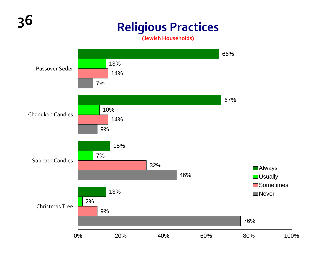# **<sup>36</sup> Religious Practices**

**(Jewish Households)**

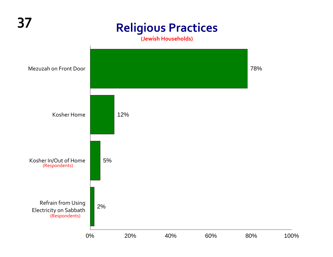## **<sup>37</sup> Religious Practices**

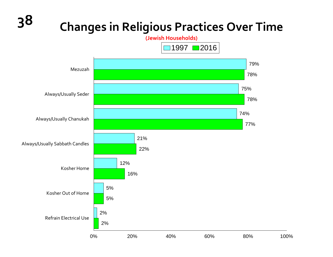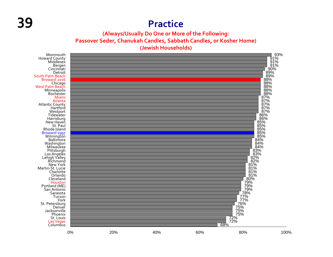#### **39 Practice**

**(Always/Usually Do One or More of the Following: Passover Seder, Chanukah Candles, Sabbath Candles, or Kosher Home) (Jewish Households)**

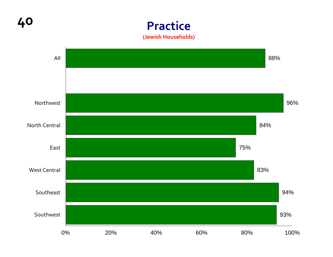**40 Practice (Jewish Households)**

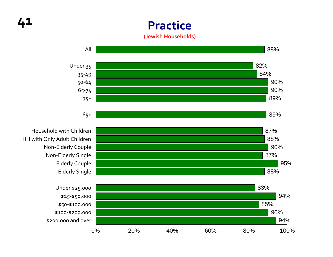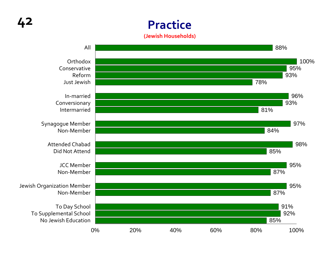**Practice (Jewish Households)**

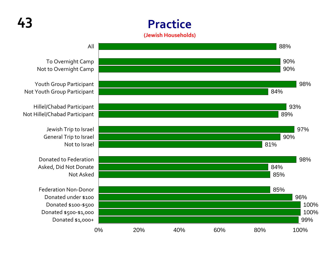#### **Practice(Jewish Households)**



To Overnight Camp Not to Overnight Camp

Youth Group Participant Not Youth Group Participant

Hillel/Chabad Participant Not Hillel/Chabad Participant

> Jewish Trip to Israel General Trip to Israel Not to Israel

Donated to Federation Asked, Did Not Donate Not Asked

Federation Non‐Donor Donated under \$100 Donated \$100‐\$500 Donated \$500‐\$1,000 Donated \$1,000+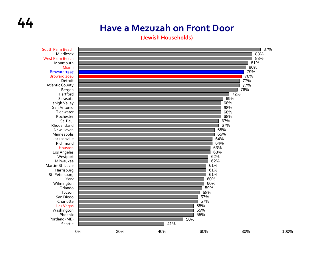### **44 Have a Mezuzah on Front Door**

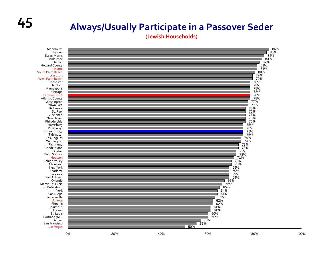### **<sup>45</sup> Always/Usually Participate in <sup>a</sup> Passover Seder**

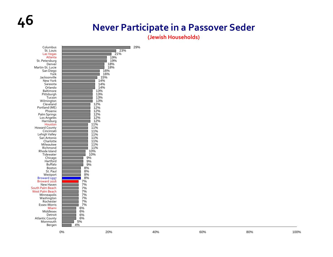## **46 Never Participate in <sup>a</sup> Passover Seder**

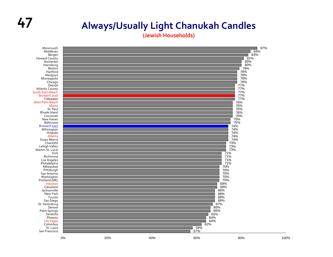#### **47 Always/Usually Light Chanukah Candles**

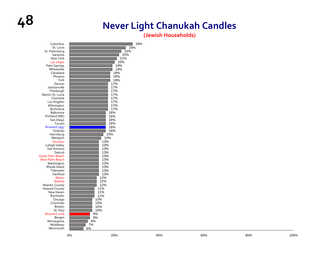### **48 Never Light Chanukah Candles**

| 10%<br>Boston<br>St. Paul<br>10%<br>9%<br>Broward 2016<br>9%<br>Bergen<br>8%<br>Minneapolis<br>Middlesex<br>7% | San Diego<br>Tucson<br>Broward 1997<br>Orlando<br>Harrisburg<br>Westport<br>Houston<br>Lehigh Valley<br>San Antonio<br>Detroit<br>South Palm Beach<br><b>West Palm Beach</b><br>Washington<br>Rhode Island<br>Tidewater<br>Hartford<br>Miami<br>Atlanta<br><b>Atlantic County</b><br><b>Howard County</b><br>New Haven<br>Rochester<br>Chicago | 10% | 16%<br>16%<br>16%<br>16%<br>16%<br>15%<br>14%<br>13%<br>13%<br>13%<br>13%<br>13%<br>13%<br>13%<br>13%<br>13%<br>13%<br>12%<br>12%<br>12%<br>11%<br>11%<br>11% |  |      |
|----------------------------------------------------------------------------------------------------------------|------------------------------------------------------------------------------------------------------------------------------------------------------------------------------------------------------------------------------------------------------------------------------------------------------------------------------------------------|-----|---------------------------------------------------------------------------------------------------------------------------------------------------------------|--|------|
|                                                                                                                | Cincinnati                                                                                                                                                                                                                                                                                                                                     | 10% |                                                                                                                                                               |  |      |
| 80%                                                                                                            | Monmouth                                                                                                                                                                                                                                                                                                                                       | 6%  |                                                                                                                                                               |  | 100% |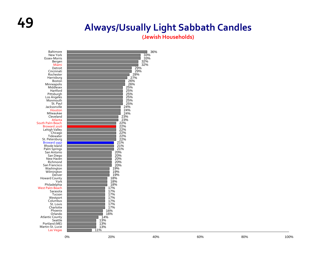### **<sup>49</sup> Always/Usually Light Sabbath Candles**

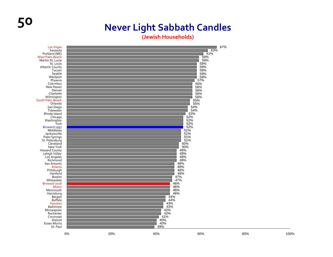### **50 Never Light Sabbath Candles**

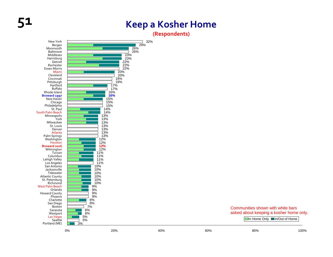#### **51 Keep <sup>a</sup> Kosher Home**

**(Respondents)**



Communities shown with white bars asked about keeping a kosher home only.

In Home Only ■In/Out of Home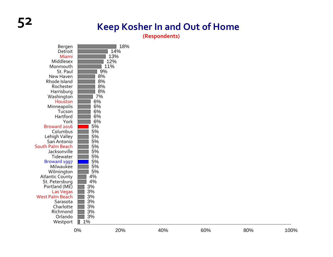### **52 Keep Kosher In and Out of Home**

**(Respondents)**

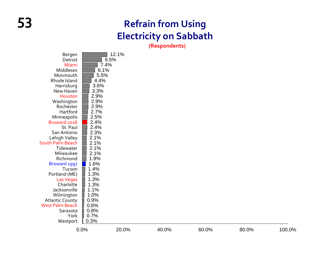#### **53 Refrain from Using Electricity on Sabbath**

**(Respondents)**

100.0%

|                         | 0.0% | 20.0% | 40.0% | 60.0% | 80.0% | 100.0% |
|-------------------------|------|-------|-------|-------|-------|--------|
| Westport                | 0.3% |       |       |       |       |        |
| York                    | 0.7% |       |       |       |       |        |
| Sarasota                | 0.8% |       |       |       |       |        |
| <b>West Palm Beach</b>  | 0.8% |       |       |       |       |        |
| <b>Atlantic County</b>  | 0.9% |       |       |       |       |        |
| Wilmington              | 1.0% |       |       |       |       |        |
| Jacksonville            | 1.1% |       |       |       |       |        |
| Charlotte               | 1.3% |       |       |       |       |        |
| Las Vegas               | 1.3% |       |       |       |       |        |
| Portland (ME)           | 1.3% |       |       |       |       |        |
| Tucson                  | 1.4% |       |       |       |       |        |
| Broward 1997            | 1.6% |       |       |       |       |        |
| Richmond                | 1.9% |       |       |       |       |        |
| Milwaukee               | 2.1% |       |       |       |       |        |
| Tidewater               | 2.1% |       |       |       |       |        |
| <b>South Palm Beach</b> | 2.1% |       |       |       |       |        |
| Lehigh Valley           | 2.1% |       |       |       |       |        |
| San Antonio             | 2.3% |       |       |       |       |        |
| St. Paul                | 2.4% |       |       |       |       |        |
| Broward 2016            | 2.4% |       |       |       |       |        |
| Minneapolis             | 2.5% |       |       |       |       |        |
| Hartford                | 2.7% |       |       |       |       |        |
| Rochester               | 2.9% |       |       |       |       |        |
| Washington              | 2.9% |       |       |       |       |        |
| Houston                 | 2.9% |       |       |       |       |        |
| New Haven               | 3.3% |       |       |       |       |        |
| Harrisburg              | 3.6% |       |       |       |       |        |
| Rhode Island            | 4.4% |       |       |       |       |        |
| Monmouth                | 5.5% |       |       |       |       |        |
| Middlesex               | 6.1% |       |       |       |       |        |
| Miami                   | 7.4% |       |       |       |       |        |
| Detroit                 |      | 9.5%  |       |       |       |        |
| Bergen                  |      | 12.1% |       |       |       |        |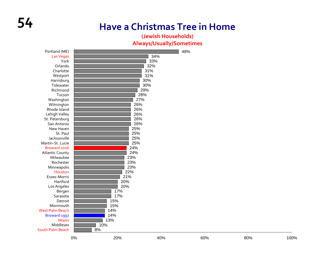#### **54 Have a Christmas Tree in Home**

#### **(Jewish Households) Always/Usually/Sometimes**

| Portland (ME)           |     |     |     | 48% |     |      |
|-------------------------|-----|-----|-----|-----|-----|------|
| Las Vegas               |     |     | 34% |     |     |      |
| York                    |     |     | 33% |     |     |      |
| Orlando                 |     |     | 32% |     |     |      |
| Charlotte               |     |     | 31% |     |     |      |
| Westport                |     |     | 31% |     |     |      |
| Harrisburg              |     |     | 30% |     |     |      |
| Tidewater               |     |     | 30% |     |     |      |
| Richmond                |     |     | 29% |     |     |      |
| Tucson                  |     |     | 28% |     |     |      |
| Washington              |     |     | 27% |     |     |      |
| Wilmington              |     | 26% |     |     |     |      |
| Rhode Island            |     | 26% |     |     |     |      |
| Lehigh Valley           |     | 26% |     |     |     |      |
| St. Petersburg          |     | 26% |     |     |     |      |
| San Antonio             |     | 26% |     |     |     |      |
| New Haven               |     | 25% |     |     |     |      |
| St. Paul                |     | 25% |     |     |     |      |
| Jacksonville            |     | 25% |     |     |     |      |
| Martin-St. Lucie        |     | 25% |     |     |     |      |
| Broward 2016            |     | 24% |     |     |     |      |
| <b>Atlantic County</b>  |     | 24% |     |     |     |      |
| Milwaukee               |     | 23% |     |     |     |      |
| Rochester               |     | 23% |     |     |     |      |
| Minneapolis             |     | 23% |     |     |     |      |
| Houston                 |     | 22% |     |     |     |      |
| Essex-Morris            |     | 21% |     |     |     |      |
| Hartford                |     | 20% |     |     |     |      |
| Los Angeles             |     | 20% |     |     |     |      |
| Bergen                  |     | 17% |     |     |     |      |
| Sarasota                |     | 17% |     |     |     |      |
| Detroit                 |     | 15% |     |     |     |      |
| Monmouth                |     | 15% |     |     |     |      |
| <b>West Palm Beach</b>  |     | 14% |     |     |     |      |
| Broward 1997            |     | 14% |     |     |     |      |
| Miami                   |     | 13% |     |     |     |      |
| Middlesex               | 10% |     |     |     |     |      |
| <b>South Palm Beach</b> | 8%  |     |     |     |     |      |
|                         | 0%  | 20% | 40% | 60% | 80% | 100% |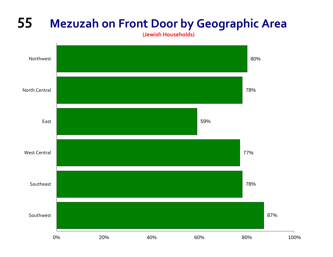### **55 Mezuzah on Front Door by Geographic Area**

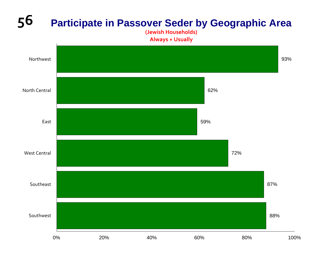#### **56 Participate in Passover Seder by Geographic Area**

**(Jewish Households) Always <sup>+</sup> Usually**

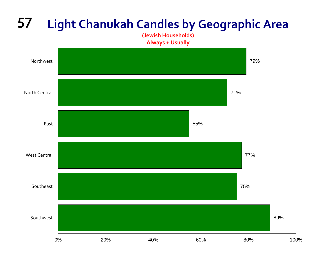#### **57 Light Chanukah Candles by Geographic Area**

**(Jewish Households) Always <sup>+</sup> Usually**

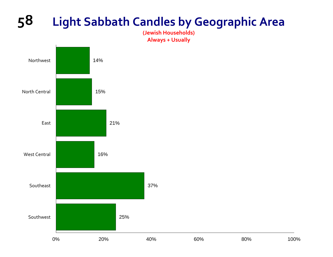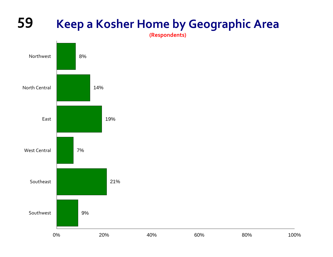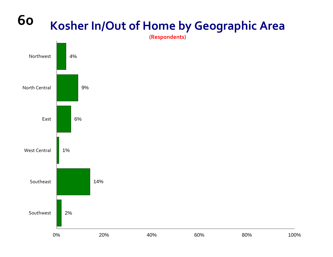#### **60 Kosher In/Out of Home by Geographic Area**

**(Respondents)**

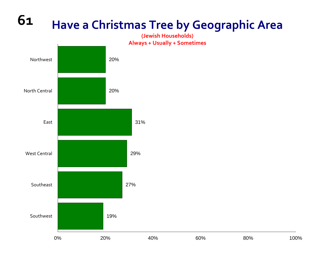#### **61Have a Christmas Tree by Geographic Area**

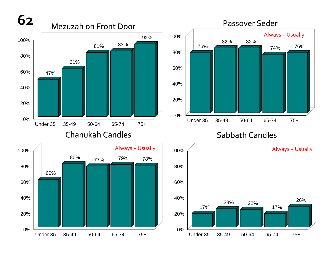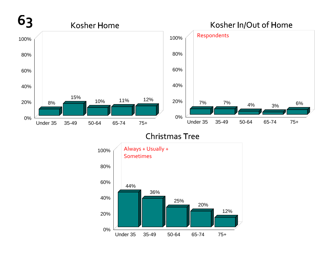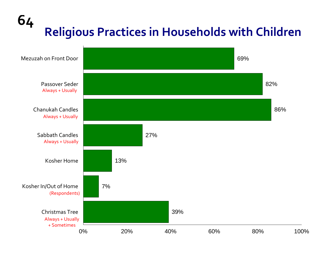# **<sup>64</sup> Religious Practices in Households with Children**

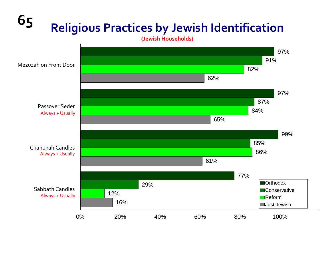# **<sup>65</sup> Religious Practices by Jewish Identification**

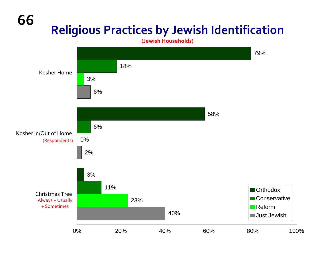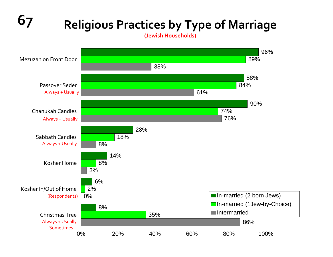### **67 Religious Practices by Type of Marriage**

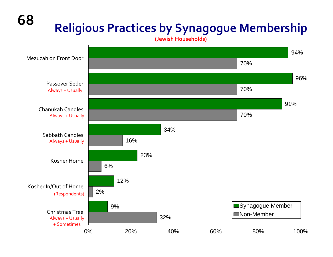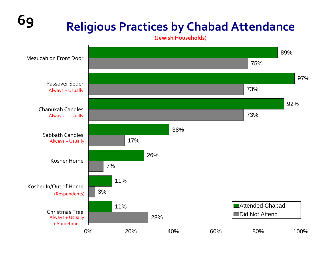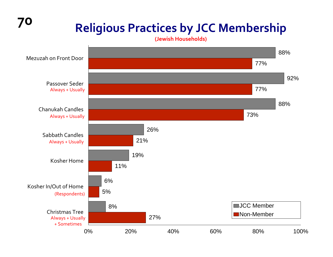## **<sup>70</sup> Religious Practices by JCC Membership**

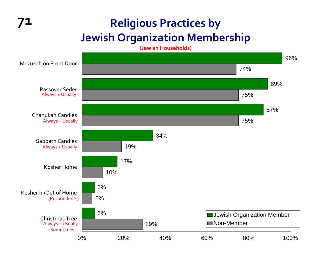#### **71 Religious Practices by Jewish Organization Membership**

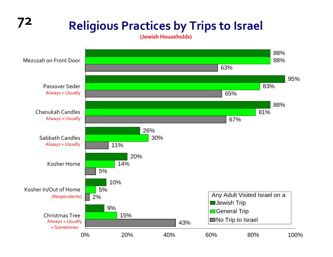#### **<sup>72</sup> Religious Practices by Trips to Israel (Jewish Households)** 88%95%88%26%20%10%9%88%83%81%30%14%5%15%63%65%67%11%5% 2%43%Mezuzah on Front Door Passover Seder Chanukah Candles Sabbath Candles Kosher HomeKosher In/Out of Home Christmas Tree0% 20% 40% 60% 80% 100%Any Adult Visited Israel on a: **Jewish Trip General Trip** No Trip to Israel Always <sup>+</sup> Usually Always <sup>+</sup> Usually Always <sup>+</sup> Usually Always <sup>+</sup> Usually + Sometimes (Respondents)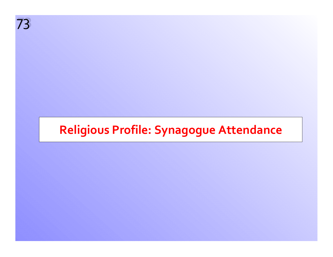**73** 73

# **Religious Profile: Synagogue Attendance**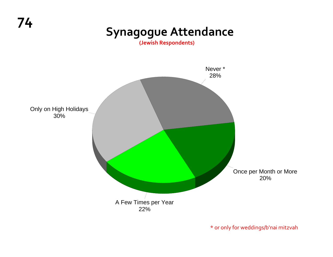# **<sup>74</sup> Synagogue Attendance**

**(Jewish Respondents)**



\* or only for weddings/b'nai mitzvah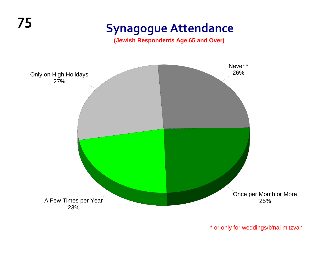**(Jewish Respondents Age 65 and Over)**



\* or only for weddings/b'nai mitzvah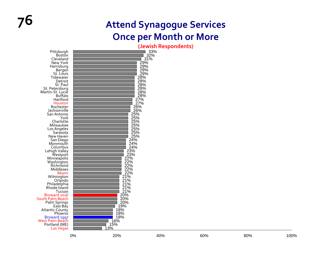|                                 |    |                                                                                                                              | peman neaponuenta)                           |     |     |      |
|---------------------------------|----|------------------------------------------------------------------------------------------------------------------------------|----------------------------------------------|-----|-----|------|
| Pittsburgh                      |    |                                                                                                                              | $33\%$<br>32%<br>31%                         |     |     |      |
| <b>Boston</b>                   |    |                                                                                                                              |                                              |     |     |      |
| Cleveland                       |    |                                                                                                                              |                                              |     |     |      |
| New York                        |    |                                                                                                                              |                                              |     |     |      |
| Harrisburg                      |    |                                                                                                                              |                                              |     |     |      |
| Bergen                          |    |                                                                                                                              |                                              |     |     |      |
| St. Louis                       |    |                                                                                                                              |                                              |     |     |      |
| Tidewater                       |    |                                                                                                                              | $\frac{29\%}{29\%}\$<br>$\frac{29\%}{29\%}\$ |     |     |      |
| Detroit                         |    |                                                                                                                              | 28%                                          |     |     |      |
| St. Paul                        |    |                                                                                                                              |                                              |     |     |      |
| St. Petersburg                  |    |                                                                                                                              |                                              |     |     |      |
| Martin-St. Lucie                |    |                                                                                                                              | 28%<br>28%<br>28%<br>27%<br>27%<br>27%       |     |     |      |
| <b>Buffalo</b>                  |    |                                                                                                                              |                                              |     |     |      |
| Hartford                        |    |                                                                                                                              |                                              |     |     |      |
| Houston                         |    |                                                                                                                              |                                              |     |     |      |
| Rochester                       |    |                                                                                                                              |                                              |     |     |      |
| Jacksonville                    |    |                                                                                                                              |                                              |     |     |      |
| San Antonio                     |    |                                                                                                                              |                                              |     |     |      |
| York                            |    | $\begin{array}{c}\n 26\% \\  26\% \\  25\% \\  25\% \\  25\% \\  \end{array}$                                                |                                              |     |     |      |
| Charlotte                       |    | 25%                                                                                                                          |                                              |     |     |      |
| Milwaukee                       |    |                                                                                                                              |                                              |     |     |      |
| Los Angeles                     |    |                                                                                                                              |                                              |     |     |      |
| Sarasota                        |    |                                                                                                                              |                                              |     |     |      |
| New Haven                       |    | 25%<br>25%<br>25%<br>24%<br>24%<br>24%                                                                                       |                                              |     |     |      |
| San Diego                       |    |                                                                                                                              |                                              |     |     |      |
| Monmouth                        |    |                                                                                                                              |                                              |     |     |      |
| Columbus                        |    | $24\%$<br>$23\%$<br>$23\%$<br>$22\%$<br>$22\%$                                                                               |                                              |     |     |      |
| Lehigh Valley<br>Westport       |    |                                                                                                                              |                                              |     |     |      |
|                                 |    |                                                                                                                              |                                              |     |     |      |
| Minneapolis                     |    |                                                                                                                              |                                              |     |     |      |
| Washington                      |    |                                                                                                                              |                                              |     |     |      |
| Richmond                        |    | 22%<br>22%                                                                                                                   |                                              |     |     |      |
| Middlesex                       |    |                                                                                                                              |                                              |     |     |      |
| Miami                           |    | $\frac{22}{6}$<br>21%                                                                                                        |                                              |     |     |      |
| Wilmington<br>Orlando           |    |                                                                                                                              |                                              |     |     |      |
|                                 |    | $\overline{2}1\%$                                                                                                            |                                              |     |     |      |
| Philadelphia                    |    |                                                                                                                              |                                              |     |     |      |
| Rhode Island                    |    | $\frac{21\%}{21\%}\ \frac{21\%}{20\%}\ \frac{20\%}{20\%}\ \frac{20\%}{19\%}\ \frac{1}{18\%}\ \frac{1}{18\%}\ \frac{1}{18\%}$ |                                              |     |     |      |
| Tucson                          |    |                                                                                                                              |                                              |     |     |      |
| Broward 2016                    |    |                                                                                                                              |                                              |     |     |      |
| South Palm Beach                |    |                                                                                                                              |                                              |     |     |      |
| Palm Springs                    |    |                                                                                                                              |                                              |     |     |      |
| East Bay                        |    |                                                                                                                              |                                              |     |     |      |
| Atlantic County                 |    |                                                                                                                              |                                              |     |     |      |
| Phoenix                         |    | 18%                                                                                                                          |                                              |     |     |      |
| Broward 1997<br>West Palm Beach |    | 18%                                                                                                                          |                                              |     |     |      |
|                                 |    | 16%                                                                                                                          |                                              |     |     |      |
| Portland (ME)                   |    | 15%                                                                                                                          |                                              |     |     |      |
| Las Vegas                       |    | 13%                                                                                                                          |                                              |     |     |      |
|                                 |    |                                                                                                                              |                                              |     |     | 100% |
|                                 | 0% | 20%                                                                                                                          | 40%                                          | 60% | 80% |      |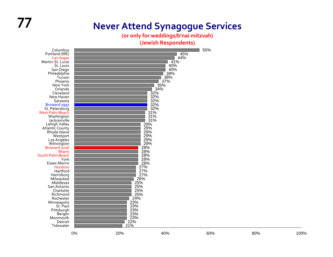# **77 Never Attend Synagogue Services**

**(or only for weddings/b'nai mitzvah)**

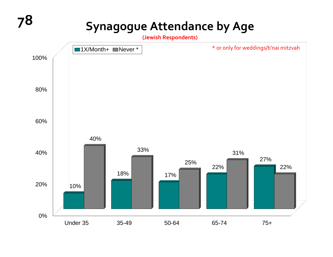# **78 Synagogue Attendance by Age**

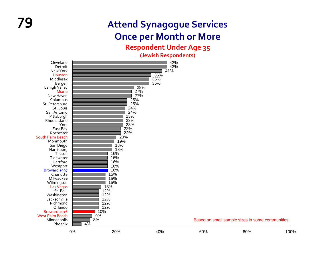#### **Respondent Under Age 35**

| Cleveland                |          |            | 43%        |     |                                                 |      |
|--------------------------|----------|------------|------------|-----|-------------------------------------------------|------|
| Detroit                  |          |            | 43%        |     |                                                 |      |
| New York<br>Houston      |          |            | 41%<br>36% |     |                                                 |      |
| Middlesex                |          |            | 35%        |     |                                                 |      |
| Bergen                   |          |            | 35%        |     |                                                 |      |
| Lehigh Valley            |          | 28%        |            |     |                                                 |      |
| Miami                    |          | 27%        |            |     |                                                 |      |
| New Haven                |          | 27%        |            |     |                                                 |      |
| Columbus                 |          | 25%        |            |     |                                                 |      |
| St. Petersburg           |          | 25%        |            |     |                                                 |      |
| St. Louis                |          | 24%        |            |     |                                                 |      |
| San Antonio              |          | 24%        |            |     |                                                 |      |
| Pittsburgh               |          | 23%        |            |     |                                                 |      |
| Rhode Island             |          | 23%        |            |     |                                                 |      |
| York                     |          | 23%        |            |     |                                                 |      |
| East Bay                 |          | 22%        |            |     |                                                 |      |
| Rochester                |          | 22%        |            |     |                                                 |      |
| South Palm Beach         |          | 20%        |            |     |                                                 |      |
| Monmouth                 |          | 19%        |            |     |                                                 |      |
| San Diego                |          | 18%        |            |     |                                                 |      |
| Harrisburg               |          | 18%        |            |     |                                                 |      |
| Tucson                   |          | 16%        |            |     |                                                 |      |
| Tidewater                |          | 16%        |            |     |                                                 |      |
| Hartford                 |          | 16%<br>16% |            |     |                                                 |      |
| Westport<br>Broward 1997 |          | 16%        |            |     |                                                 |      |
| Charlotte                |          | 15%        |            |     |                                                 |      |
| Milwaukee                |          | 15%        |            |     |                                                 |      |
| Wilmington               |          | 15%        |            |     |                                                 |      |
| Las Vegas                |          | 13%        |            |     |                                                 |      |
| St. Paul                 |          | 12%        |            |     |                                                 |      |
| Washington               |          | 12%        |            |     |                                                 |      |
| Jacksonville             |          | 12%        |            |     |                                                 |      |
| Richmond                 |          | 12%        |            |     |                                                 |      |
| Orlando                  |          | 12%        |            |     |                                                 |      |
| Broward 2016             | 10%      |            |            |     |                                                 |      |
| <b>West Palm Beach</b>   | 9%       |            |            |     |                                                 |      |
| Minneapolis              | 8%<br>4% |            |            |     | Based on small sample sizes in some communities |      |
| Phoenix                  |          |            |            |     |                                                 |      |
|                          | 0%       | 20%        | 40%        | 60% | 80%                                             | 100% |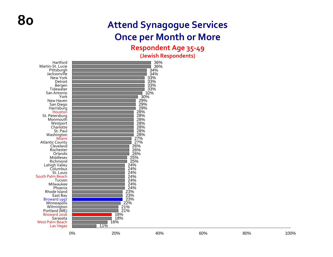#### **Respondent Age 35‐49**

| Hartford<br>Martin-St. Lucie<br>Pittsburgh<br>Jacksonville<br>New York | 36%<br>36%<br>34%<br>34%<br>33% |
|------------------------------------------------------------------------|---------------------------------|
| Detroit                                                                | 33%                             |
| Bergen                                                                 | 33%                             |
| Tidewater                                                              | 33%                             |
| San Antonio                                                            | 32%                             |
| York                                                                   | 30%                             |
| New Haven                                                              | 29%                             |
| San Diego                                                              | 29%                             |
| Harrisburg                                                             | 29%                             |
| Houston                                                                | 28%                             |
| St. Petersburg                                                         | 28%                             |
| Monmouth                                                               | 28%                             |
| Westport<br>Charlotte                                                  | 28%<br>28%                      |
| St. Paul                                                               | 28%                             |
| Washington                                                             | 28%                             |
| Miami                                                                  | 27%                             |
| <b>Atlantic County</b>                                                 | 27%                             |
| Cleveland                                                              | 26%                             |
| Rochester                                                              | 26%                             |
| Orlando                                                                | 26%                             |
| Middlesex                                                              | 25%                             |
| Richmond                                                               | 25%                             |
| Lehigh Valley<br>Columbus                                              | 24%<br>24%                      |
| St. Louis                                                              | 24%                             |
| South Palm Beach                                                       | 24%                             |
| Tucson                                                                 | 24%                             |
| Milwaukee                                                              | 24%                             |
| Phoenix                                                                | 24%                             |
| Rhode Island                                                           | 23%                             |
| East Bay                                                               | 23%                             |
| Broward 1997                                                           | 23%                             |
| Minneapolis                                                            | 22%                             |
| Wilmington<br>Portland (ME)                                            | 21%<br>21%                      |
| Broward 2016                                                           | 18%                             |
| Sarasota                                                               | 18%                             |
| <b>West Palm Beach</b>                                                 | 16%                             |
| Las Vegas                                                              | 11%                             |
|                                                                        |                                 |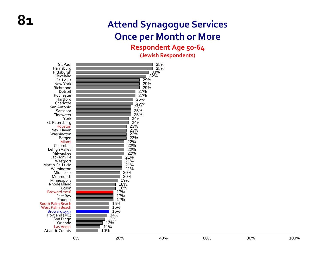#### **Respondent Age 50‐64**

| 32%<br>Cleveland<br>29%<br>St. Louis<br>29%<br>New York<br>29%<br>Richmond<br>27%<br>Detroit<br>27%<br>Rochester<br>26%<br>Hartford<br>26%<br>Charlotte<br>25%<br>San Antonio<br>25%<br>Sarasota<br>25%<br>Tidewater<br>24%<br>York<br>24%<br>St. Petersburg<br>23%<br>Houston<br>23%<br>New Haven<br>23%<br>Washington<br>23%<br>Bergen<br>22%<br>Miami<br>Columbus<br>22%<br>22%<br>Lehigh Valley<br>22%<br>Milwaukee<br>21%<br>Jacksonville<br>21%<br>Westport<br>21%<br>Martin-St. Lucie<br>21%<br>Wilmington<br>20%<br>Middlesex<br>20%<br>Monmouth<br>19%<br>Minneapolis<br>18%<br>Rhode Island<br>18%<br>Tucson<br>17%<br>Broward 2016<br>17%<br>East Bay<br>17%<br>Phoenix<br>15%<br>South Palm Beach<br>15%<br><b>West Palm Beach</b><br>15%<br>Broward 1997<br>14%<br>Portland (ME)<br>13%<br>San Diego<br>12%<br>Orlando<br>11%<br><b>Las Vegas</b><br>10%<br>Atlantic County |
|------------------------------------------------------------------------------------------------------------------------------------------------------------------------------------------------------------------------------------------------------------------------------------------------------------------------------------------------------------------------------------------------------------------------------------------------------------------------------------------------------------------------------------------------------------------------------------------------------------------------------------------------------------------------------------------------------------------------------------------------------------------------------------------------------------------------------------------------------------------------------------------|
|------------------------------------------------------------------------------------------------------------------------------------------------------------------------------------------------------------------------------------------------------------------------------------------------------------------------------------------------------------------------------------------------------------------------------------------------------------------------------------------------------------------------------------------------------------------------------------------------------------------------------------------------------------------------------------------------------------------------------------------------------------------------------------------------------------------------------------------------------------------------------------------|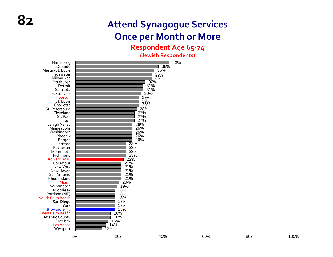#### **Respondent Age 65‐<sup>74</sup>**

| $21\%$<br>$21\%$<br>$21\%$<br>$21\%$<br>New York<br>New Haven<br>San Antonio<br>$\frac{21\%}{20\%}$<br>Rhode Island<br>Miami<br>19%<br>Wilmington<br>Middlesex<br>18%<br>18%<br>18%<br>Portland (ME)<br>South Palm Beach<br>18%<br>18%<br>San Diego<br>York<br>18%<br>Broward 1997<br>West Palm Beach<br>16%<br>16%<br><b>Atlantic County</b><br>15%<br>East Bay |
|------------------------------------------------------------------------------------------------------------------------------------------------------------------------------------------------------------------------------------------------------------------------------------------------------------------------------------------------------------------|
| 14%<br>Las Vegas<br>12%<br>Westport<br>0%<br>20%<br>40%<br>60%<br>80%                                                                                                                                                                                                                                                                                            |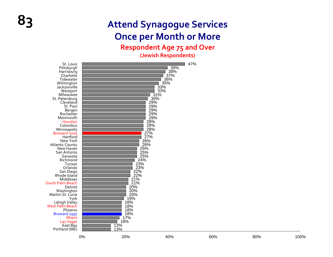#### **Respondent Age 75 and Over**

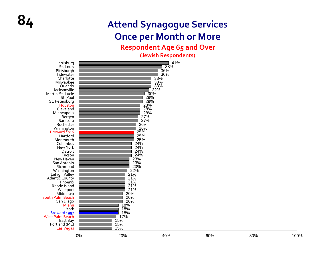#### **Respondent Age 65 and Over**

| Harrisburg<br>St. Louis<br>Pittsburgh<br>Tidewater<br>Charlotte<br>Milwaukee<br>Orlando<br>Jacksonville<br>Martin-St. Lucie<br>St. Paul<br>St. Petersburg<br>Houston<br>Cleveland<br>Minneapolis<br>Bergen<br>Sarasota<br>Rochester<br>Wilmington<br>Broward 2016<br>Hartford<br>Monmouth<br>Columbus<br>New York<br>Detroit<br>Tucson<br>New Haven<br>San Antonio<br>Richmond<br>Washington<br>Lehigh Valley<br>Atlantic County<br>Phoenix<br>Rhode Island<br>Westport<br>Middlesex<br>South Palm Beach<br>San Diego<br>Miami<br>York<br>Broward 1997<br>West Palm Beach<br>East Bay<br>Portland (ME) |    | 33%<br>33%<br>33%<br>32%<br>30%<br>29%<br>29%<br>28%<br>28%<br>28%<br>27%<br>27%<br>$\frac{26}{6}$<br>26%<br>25%<br>25%<br>25%<br>24%<br>24%<br>24%<br>24%<br>23%<br>23%<br>23%<br>22%<br>$21\%$<br>21%<br>21%<br>21%<br>21%<br>20%<br>20%<br>20%<br>18%<br>18%<br>18%<br>17%<br>15%<br>15% | 41%<br>38%<br>36%<br>36% |     |     |      |
|--------------------------------------------------------------------------------------------------------------------------------------------------------------------------------------------------------------------------------------------------------------------------------------------------------------------------------------------------------------------------------------------------------------------------------------------------------------------------------------------------------------------------------------------------------------------------------------------------------|----|---------------------------------------------------------------------------------------------------------------------------------------------------------------------------------------------------------------------------------------------------------------------------------------------|--------------------------|-----|-----|------|
| Las Vegas                                                                                                                                                                                                                                                                                                                                                                                                                                                                                                                                                                                              | 0% | 15%<br>20%                                                                                                                                                                                                                                                                                  | 40%                      | 60% | 80% | 100% |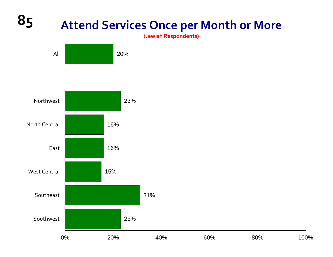# **85 Attend Services Once per Month or More**

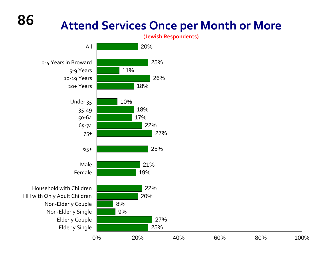# **Attend Services Once per Month or More**

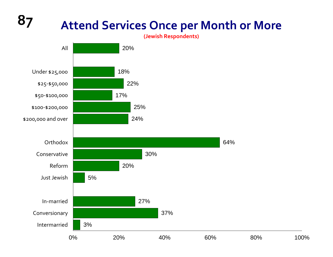#### **87 Attend Services Once per Month or More (Jewish Respondents)** 20% 18%22%17%25% 24%64%30%20% 5%AllUnder \$25,000 \$25‐\$50,000 \$50‐\$100,000 \$100‐\$200,000 \$200,000 and over **Orthodox** ConservativeReformJust Jewish

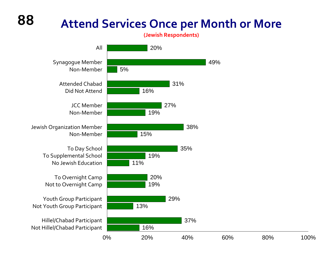# **88**

## **Attend Services Once per Month or More**

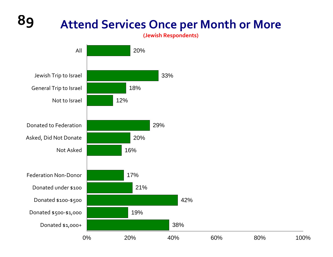# **89 Attend Services Once per Month or More**

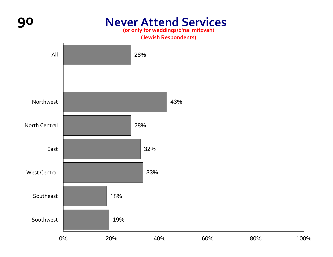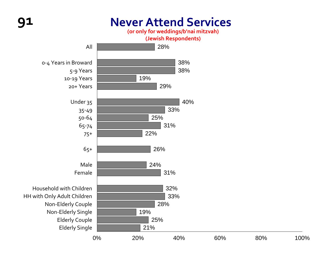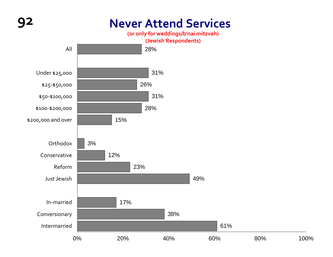## **92 Never Attend Services**





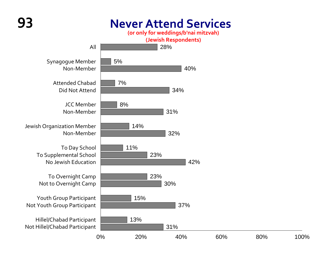## **93 Never Attend Services**

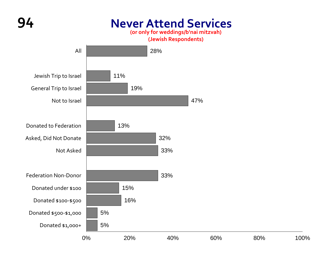

## **94 Never Attend Services**

**(or only for weddings/b'nai mitzvah)**

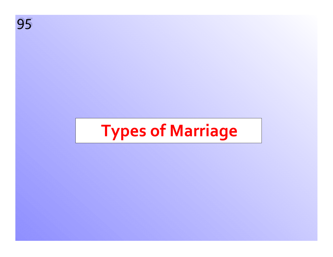

# **Types of Marriage**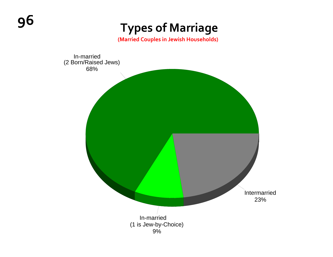# **<sup>96</sup> Types of Marriage**

**(Married Couples in Jewish Households)**

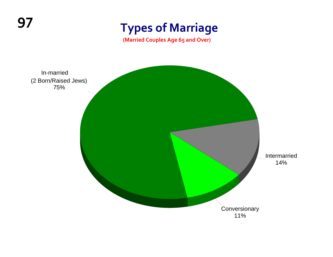# **<sup>97</sup> Types of Marriage**

**(Married Couples Age 65 and Over)**

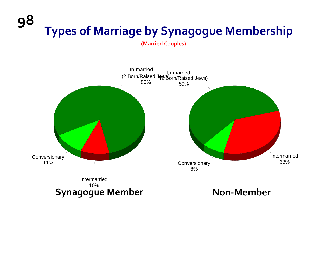## **98 Types of Marriage by Synagogue Membership**

**(Married Couples)**

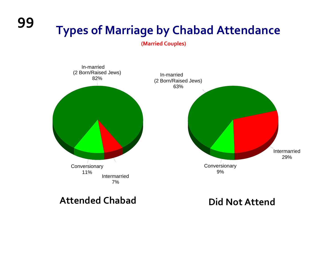**Types of Marriage by Chabad Attendance**

**(Married Couples)**



**Attended Chabad Did**

**99**

**Did Not Attend**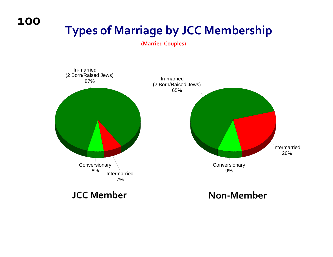**100**

# **Types of Marriage by JCC Membership**

**(Married Couples)**

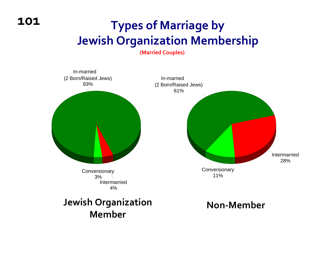# **Types of Marriage by Jewish Organization Membership**

**(Married Couples)**

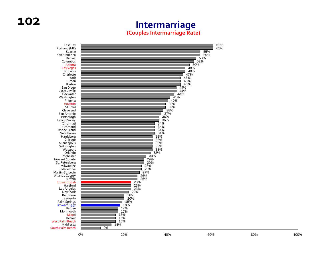#### **Intermarriage (Couples Intermarriage Rate)**

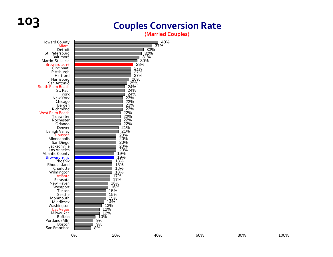# **103 Couples Conversion Rate**

**(Married Couples)**

| <b>Howard County</b><br>Miami<br>Detroit                        |    |                                                                                        | 40%<br>37%                  |     |     |      |
|-----------------------------------------------------------------|----|----------------------------------------------------------------------------------------|-----------------------------|-----|-----|------|
| St. Petersburg<br>Baltimore<br>Martin-St. Lucie<br>Broward 2016 |    |                                                                                        | $33\%$<br>32%<br>31%<br>30% |     |     |      |
| Cincinnati<br>Pittsburgh<br>Hartford                            |    | 27%<br>27%                                                                             | 28%                         |     |     |      |
| Harrisburg<br>San Antonio<br>South Palm Beach                   |    | $\frac{27}{6}$<br>25%<br>24%                                                           |                             |     |     |      |
| St. Paul<br>York<br>New York                                    |    | 24%                                                                                    |                             |     |     |      |
| Chicago<br>Bergen<br>Richmond                                   |    |                                                                                        |                             |     |     |      |
| <b>West Palm Beach</b><br>Tidewater<br>Rochester                |    | $24\%$<br>$23\%$<br>$23\%$<br>$23\%$<br>$22\%$<br>$22\%$<br>$22\%$<br>$24\%$<br>$22\%$ |                             |     |     |      |
| Orlando<br>Denver<br>Lehigh Valley                              |    | 21%<br>21%                                                                             |                             |     |     |      |
| Houston<br>Minneapolis<br>San Diego<br>Jacksonville             |    | 20%<br>20%<br>20%                                                                      |                             |     |     |      |
| Los Angeles<br><b>Atlantic County</b>                           |    | $20\%$<br>$20\%$<br>$19\%$<br>$19\%$<br>$18\%$<br>$18\%$                               |                             |     |     |      |
| Broward 1997<br>Phoenix<br>Rhode Island<br>Charlotte            |    | 18%<br>18%                                                                             |                             |     |     |      |
| Wilmington<br>Atlanta<br>Sarasota                               |    | 18%<br>17%<br>17%                                                                      |                             |     |     |      |
| New Haven<br>Westport<br>Tucson<br>Seattle                      |    | 16%<br>16%<br>15%                                                                      |                             |     |     |      |
| Monmouth<br>Middlesex<br>Washington                             |    | 15%<br>15%<br>– 14%<br>13%                                                             |                             |     |     |      |
| Las Vegas<br>Milwaukee<br><b>Buffalo</b>                        |    | 13, 12%<br>12%<br>10%<br>9%<br>0%                                                      |                             |     |     |      |
| Portland (ME)<br>Boston<br>San Francisco                        |    | 9%<br>8%                                                                               |                             |     |     |      |
|                                                                 | 0% | 20%                                                                                    | 40%                         | 60% | 80% | 100% |

100%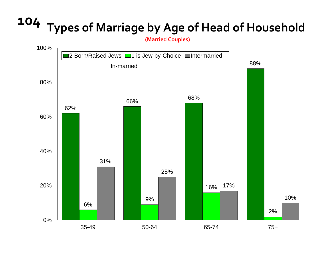# **<sup>104</sup> Types of Marriage by Age of Head of Household**

**(Married Couples)**

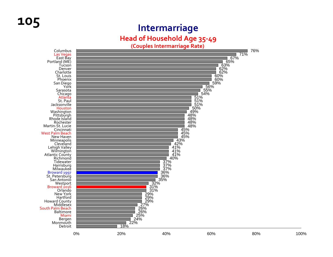# **<sup>105</sup> Intermarriage**

**Head of Household Age 35‐49**

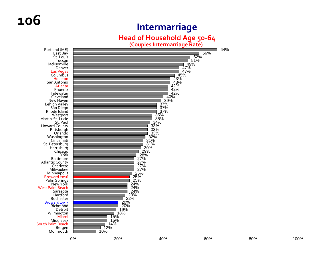#### **Intermarriage**

#### **Head of Household Age 50‐64**

**(Couples Intermarriage Rate)**



64%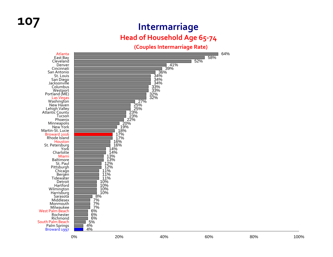### **<sup>107</sup> Intermarriage Head of Household Age 65‐<sup>74</sup>**

**(Couples Intermarriage Rate)**

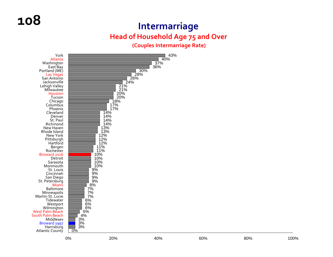#### **Intermarriage**

#### **Head of Household Age 75 and Over**

#### **(Couples Intermarriage Rate)**

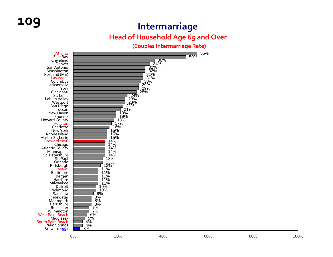## **109 Intermarriage**

#### **Head of Household Age 65 and Over**

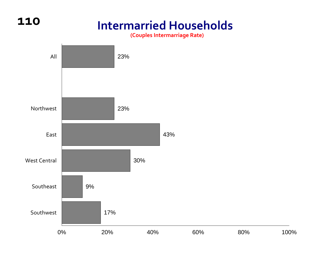## **Intermarried Households**

**110**

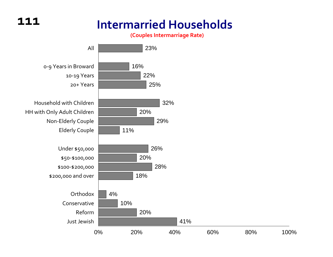### **111**

## **Intermarried Households**

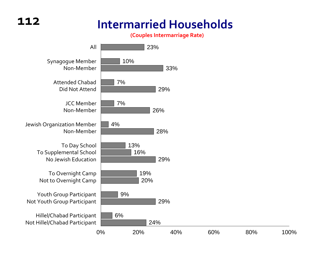# **Intermarried Households**

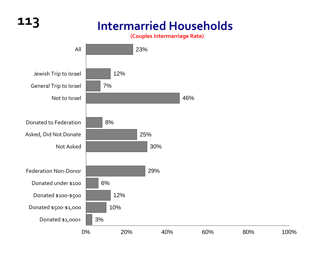# **113 Intermarried Households**

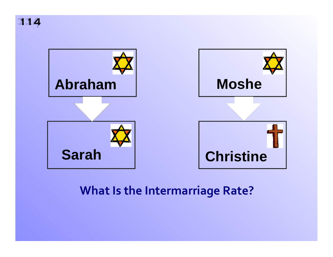**114 114**



## **What Is the Intermarriage Rate?**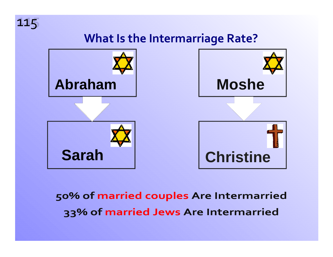

## **What Is the Intermarriage Rate?**



## 50% of married couples Are Intermarried 33% of married Jews Are Intermarried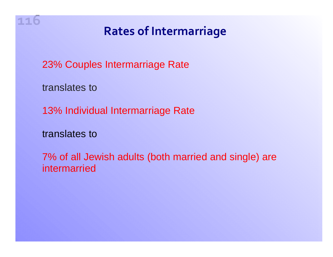

## **Rates of Intermarriage**

23% Couples Intermarriage Rate

translates to

13% Individual Intermarriage Rate

translates to

7% of all Jewish adults (both married and single) are intermarried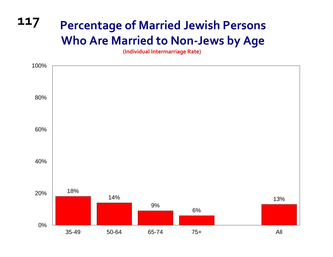# **<sup>117</sup> Percentage of Married Jewish Persons Who Are Married to Non‐Jews by Age**

**(Individual Intermarriage Rate)**

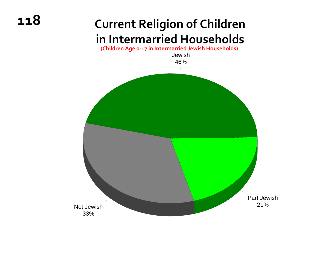**118**

## **Current Religion of Children in Intermarried Households**

Jewish 46%Not Jewish33%Part Jewish21%**(Children Age <sup>0</sup>‐<sup>17</sup> in Intermarried Jewish Households)**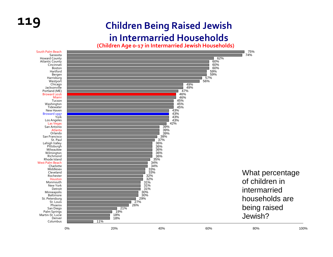#### **119 Children Being Raised Jewish in Intermarried Households**

**(Children Age <sup>0</sup>‐17 in Intermarried Jewish Households)**

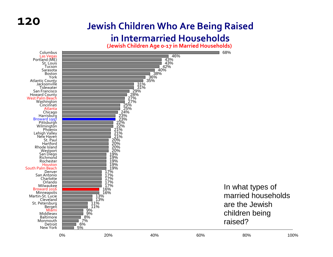#### **Jewish Children Who Are Being Raised**

#### **in Intermarried Households**

**(Jewish Children Age <sup>0</sup>‐17 in Married Households)**

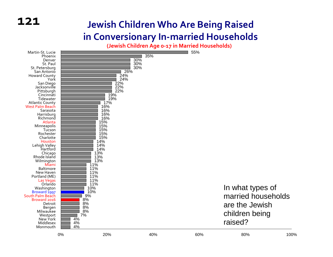#### **Jewish Children Who Are Being Raised in Conversionary In ‐married Households**

**(Jewish Children Age <sup>0</sup>‐17 in Married Households)**

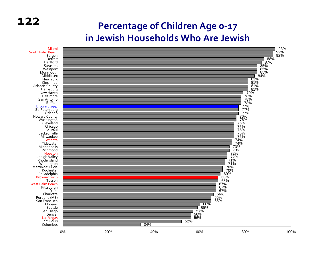#### **Percentage of Children Age 0 ‐17 in Jewish Households Who Are Jewish**

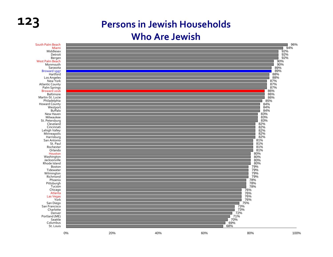### **123 Persons in Jewish Households Who Are Jewish**